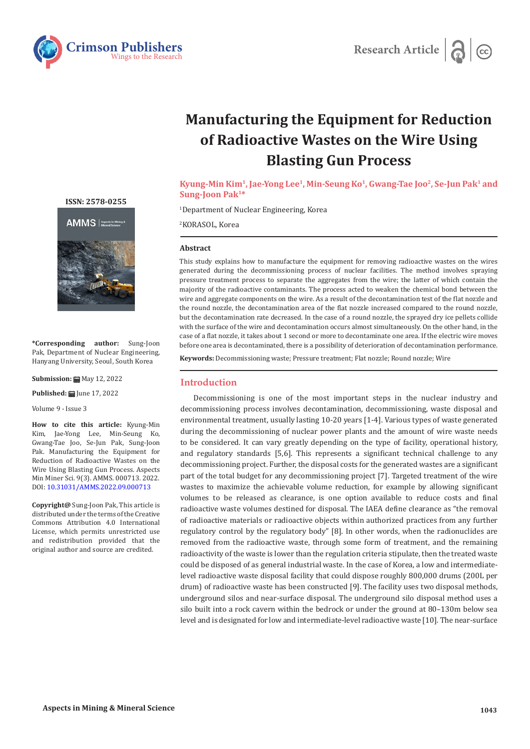



# **Manufacturing the Equipment for Reduction of Radioactive Wastes on the Wire Using Blasting Gun Process**

**Kyung-Min Kim1, Jae-Yong Lee1, Min-Seung Ko1, Gwang-Tae Joo2, Se-Jun Pak1 and Sung-Joon Pak1\*** 

1 Department of Nuclear Engineering, Korea

2 KORASOL, Korea

## **Abstract**

This study explains how to manufacture the equipment for removing radioactive wastes on the wires generated during the decommissioning process of nuclear facilities. The method involves spraying pressure treatment process to separate the aggregates from the wire; the latter of which contain the majority of the radioactive contaminants. The process acted to weaken the chemical bond between the wire and aggregate components on the wire. As a result of the decontamination test of the flat nozzle and the round nozzle, the decontamination area of the flat nozzle increased compared to the round nozzle, but the decontamination rate decreased. In the case of a round nozzle, the sprayed dry ice pellets collide with the surface of the wire and decontamination occurs almost simultaneously. On the other hand, in the case of a flat nozzle, it takes about 1 second or more to decontaminate one area. If the electric wire moves before one area is decontaminated, there is a possibility of deterioration of decontamination performance.

**Keywords:** Decommissioning waste; Pressure treatment; Flat nozzle; Round nozzle; Wire

#### **Introduction**

Decommissioning is one of the most important steps in the nuclear industry and decommissioning process involves decontamination, decommissioning, waste disposal and environmental treatment, usually lasting 10-20 years [1-4]. Various types of waste generated during the decommissioning of nuclear power plants and the amount of wire waste needs to be considered. It can vary greatly depending on the type of facility, operational history, and regulatory standards [5,6]. This represents a significant technical challenge to any decommissioning project. Further, the disposal costs for the generated wastes are a significant part of the total budget for any decommissioning project [7]. Targeted treatment of the wire wastes to maximize the achievable volume reduction, for example by allowing significant volumes to be released as clearance, is one option available to reduce costs and final radioactive waste volumes destined for disposal. The IAEA define clearance as "the removal of radioactive materials or radioactive objects within authorized practices from any further regulatory control by the regulatory body" [8]. In other words, when the radionuclides are removed from the radioactive waste, through some form of treatment, and the remaining radioactivity of the waste is lower than the regulation criteria stipulate, then the treated waste could be disposed of as general industrial waste. In the case of Korea, a low and intermediatelevel radioactive waste disposal facility that could dispose roughly 800,000 drums (200L per drum) of radioactive waste has been constructed [9]. The facility uses two disposal methods, underground silos and near-surface disposal. The underground silo disposal method uses a silo built into a rock cavern within the bedrock or under the ground at 80–130m below sea level and is designated for low and intermediate-level radioactive waste [10]. The near-surface

**[ISSN: 2578-0255](https://crimsonpublishers.com/amms/)**



**\*Corresponding author:** Sung-Joon Pak, Department of Nuclear Engineering, Hanyang University, Seoul, South Korea

**Submission: 曲** May 12, 2022

**Published: | June 17, 2022** 

Volume 9 - Issue 3

**How to cite this article:** Kyung-Min Kim, Jae-Yong Lee, Min-Seung Ko, Gwang-Tae Joo, Se-Jun Pak, Sung-Joon Pak. Manufacturing the Equipment for Reduction of Radioactive Wastes on the Wire Using Blasting Gun Process. Aspects Min Miner Sci. 9(3). AMMS. 000713. 2022. DOI: [10.31031/AMMS.2022.09.000713](http://dx.doi.org/10.31031/AMMS.2022.09.000713)

**Copyright@** Sung-Joon Pak, This article is distributed under the terms of the Creative Commons Attribution 4.0 International License, which permits unrestricted use and redistribution provided that the original author and source are credited.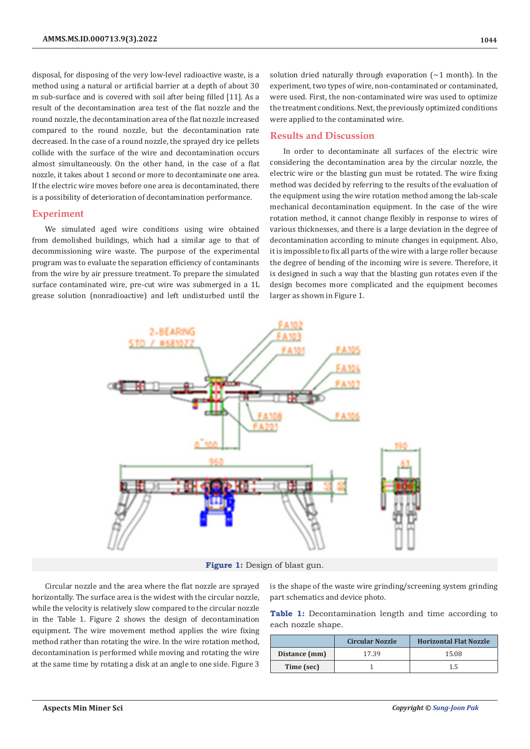disposal, for disposing of the very low-level radioactive waste, is a method using a natural or artificial barrier at a depth of about 30 m sub-surface and is covered with soil after being filled [11]. As a result of the decontamination area test of the flat nozzle and the round nozzle, the decontamination area of the flat nozzle increased compared to the round nozzle, but the decontamination rate decreased. In the case of a round nozzle, the sprayed dry ice pellets collide with the surface of the wire and decontamination occurs almost simultaneously. On the other hand, in the case of a flat nozzle, it takes about 1 second or more to decontaminate one area. If the electric wire moves before one area is decontaminated, there is a possibility of deterioration of decontamination performance.

#### **Experiment**

We simulated aged wire conditions using wire obtained from demolished buildings, which had a similar age to that of decommissioning wire waste. The purpose of the experimental program was to evaluate the separation efficiency of contaminants from the wire by air pressure treatment. To prepare the simulated surface contaminated wire, pre-cut wire was submerged in a 1L grease solution (nonradioactive) and left undisturbed until the

solution dried naturally through evaporation  $(\sim 1 \text{ month})$ . In the experiment, two types of wire, non-contaminated or contaminated, were used. First, the non-contaminated wire was used to optimize the treatment conditions. Next, the previously optimized conditions were applied to the contaminated wire.

#### **Results and Discussion**

In order to decontaminate all surfaces of the electric wire considering the decontamination area by the circular nozzle, the electric wire or the blasting gun must be rotated. The wire fixing method was decided by referring to the results of the evaluation of the equipment using the wire rotation method among the lab-scale mechanical decontamination equipment. In the case of the wire rotation method, it cannot change flexibly in response to wires of various thicknesses, and there is a large deviation in the degree of decontamination according to minute changes in equipment. Also, it is impossible to fix all parts of the wire with a large roller because the degree of bending of the incoming wire is severe. Therefore, it is designed in such a way that the blasting gun rotates even if the design becomes more complicated and the equipment becomes larger as shown in Figure 1.



**Figure 1:** Design of blast gun.

Circular nozzle and the area where the flat nozzle are sprayed horizontally. The surface area is the widest with the circular nozzle, while the velocity is relatively slow compared to the circular nozzle in the Table 1. Figure 2 shows the design of decontamination equipment. The wire movement method applies the wire fixing method rather than rotating the wire. In the wire rotation method, decontamination is performed while moving and rotating the wire at the same time by rotating a disk at an angle to one side. Figure 3

is the shape of the waste wire grinding/screening system grinding part schematics and device photo.

Table 1: Decontamination length and time according to each nozzle shape.

|               | <b>Circular Nozzle</b> | <b>Horizontal Flat Nozzle</b> |
|---------------|------------------------|-------------------------------|
| Distance (mm) | 17.39                  | 15.08                         |
| Time (sec)    |                        | 1.5                           |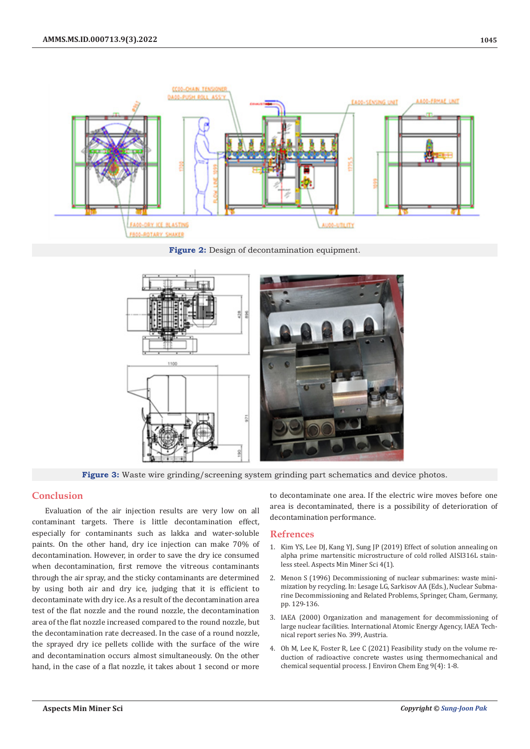

**Figure 2:** Design of decontamination equipment.



**Figure 3:** Waste wire grinding/screening system grinding part schematics and device photos.

# **Conclusion**

Evaluation of the air injection results are very low on all contaminant targets. There is little decontamination effect, especially for contaminants such as lakka and water-soluble paints. On the other hand, dry ice injection can make 70% of decontamination. However, in order to save the dry ice consumed when decontamination, first remove the vitreous contaminants through the air spray, and the sticky contaminants are determined by using both air and dry ice, judging that it is efficient to decontaminate with dry ice. As a result of the decontamination area test of the flat nozzle and the round nozzle, the decontamination area of the flat nozzle increased compared to the round nozzle, but the decontamination rate decreased. In the case of a round nozzle, the sprayed dry ice pellets collide with the surface of the wire and decontamination occurs almost simultaneously. On the other hand, in the case of a flat nozzle, it takes about 1 second or more

to decontaminate one area. If the electric wire moves before one area is decontaminated, there is a possibility of deterioration of decontamination performance.

### **Refrences**

- 1. [Kim YS, Lee DJ, Kang YJ, Sung JP \(2019\) Effect of solution annealing on](https://crimsonpublishers.com/amms/fulltext/AMMS.000580.php) [alpha prime martensitic microstructure of cold rolled AISI316L stain](https://crimsonpublishers.com/amms/fulltext/AMMS.000580.php)[less steel. Aspects Min Miner Sci 4\(1\).](https://crimsonpublishers.com/amms/fulltext/AMMS.000580.php)
- 2. Menon S (1996) Decommissioning of nuclear submarines: waste minimization by recycling. In: Lesage LG, Sarkisov AA (Eds.), Nuclear Submarine Decommissioning and Related Problems, Springer, Cham, Germany, pp. 129-136.
- 3. IAEA (2000) Organization and management for decommissioning of large nuclear facilities. International Atomic Energy Agency, IAEA Technical report series No. 399, Austria.
- 4. [Oh M, Lee K, Foster R, Lee C \(2021\) Feasibility study on the volume re](https://www.sciencedirect.com/science/article/pii/S2213343721007193)[duction of radioactive concrete wastes using thermomechanical and](https://www.sciencedirect.com/science/article/pii/S2213343721007193) [chemical sequential process. J Environ Chem Eng 9\(4\): 1-8.](https://www.sciencedirect.com/science/article/pii/S2213343721007193)